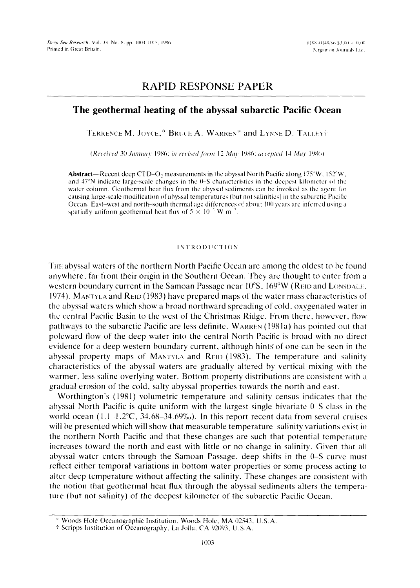# **RAPID RESPONSE PAPER**

# **The geothermal heating of the abyssal subarctic Pacific Ocean**

TERRENCE M. JOYCE,\* BRUCE A. WARREN\* and LYNNE D. TALLEYT

*(Received 30 January 1986; in revised form 12 May 1986; accepted 14 May 1986)* 

Abstract---Recent deep CTD-O<sub>2</sub> measurements in the abyssal North Pacific along  $175^{\circ}$ W,  $152^{\circ}$ W, and  $47^{\circ}$ N indicate large-scale changes in the  $0-$ S characteristics in the deepest kilometer of the water column. Geothermal heat flux from the abyssal sediments can be invoked as the agent for causing large-scale modilication of abyssal temperaturcs (but not salinities) in the subarctic Pacilic Ocean. East-west and north-south thermal age differences of about 100 years are inferred using a spatially uniform geothermal heat flux of  $5 \times 10^{-2}$  W m<sup>-2</sup>.

# **INTRODUCTION**

THE abyssal waters of the northern North Pacific Ocean are among the oldest to be found anywhere, far from their origin in the Southern Ocean. They are thought to enter from a western boundary current in the Samoan Passage near  $10^{\circ}$ S,  $169^{\circ}$ W (REID and LONSDALE, 1974). MANTYLA and  $\text{RED}(1983)$  have prepared maps of the water mass characteristics of the abyssal waters which show a broad northward spreading of cold, oxygenated water in the central Pacific Basin to the west of the Christmas Ridge. From there, however, flow pathways to the subarctic Pacific are less definite. WARREN (1981a) has pointed out that poleward flow of the deep water into the central North Pacific is broad with no direct evidence for a deep western boundary current, although hints of one can be seen in the abyssal property maps of MANTVLA and REID (1983). The temperature and salinity characteristics of the abyssal waters are gradually altered by vertical mixing with the warmer, less saline overlying water. Bottom property distributions are consistent with a gradual erosion of the cold, salty abyssal properties towards the north and east.

Worthington's (1981) volumetric temperature and salinity census indicates that the abyssal North Pacific is quite uniform with the largest single bivariate 0-S class in the world ocean  $(1.1-1.2^{\circ}\text{C}, 34.68-34.69\%)$ . In this report recent data from several cruises will be presented which will show that measurable temperature-salinity variations exist in the northern North Pacific and that these changes are such that potential temperature increases toward the north and east with little or no change in salinity. Given that all abyssal water enters through the Samoan Passage, deep shifts in the 0-S curve must reflect either temporal variations in bottom water properties or some process acting to alter deep temperature without affecting the salinity. These changes are consistent with the notion that geothermal heat flux through the abyssal sediments alters the temperature (but not salinity) of the deepest kilometer of the subarctic Pacific Ocean.

<sup>:</sup> Woods Hole Oceanographic Institution, Woods Hole, MA 02543, U.S.A.

<sup>• &#</sup>x27;, Scripps Institution of Oceanography, La Jolla, CA 92093, U.S.A.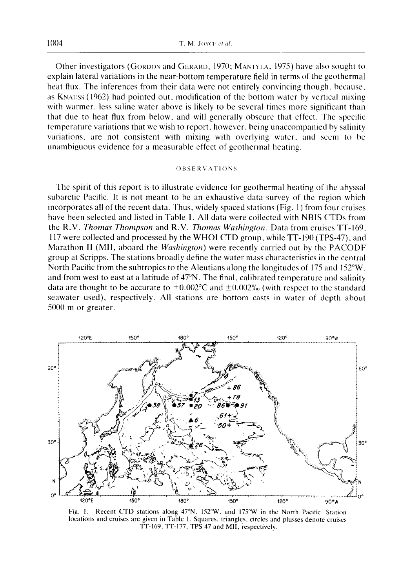Other investigators (GORDON and GERARD, 1970; MANTYI.A, 1975) have also sought to explain lateral variations in the near-bottom temperature field in terms of the geothermal heat flux. The inferences from their data were not entirely convincing though, because, as KNAUSS (1962) had pointed out, modification of the bottom water by vertical mixing with warmer, less saline water above is likely to be several times more significant than that due to heat flux from below, and will generally obscure that effect. The specific temperature variations that we wish to report, however, being unaccompanied by salinity variations, are not consistent with mixing with overlying water, and seem to be unambiguous evidence for a measurable effect of geothermal heating.

## ()BSERVAII()NS

The spirit of this report is to illustrate evidence for geothermal heating of the abyssal subarctic Pacific. It is not meant to be an exhaustive data survey of the region which incorporates all of the recent data. Thus, widely spaced stations (Fig. 1) from four cruises have been selected and listed in Table 1. All data were collected with NBIS CTDs from the R.V. *Thomas Thompson* and R.V. *Thomas Washington.* Data from cruises TT-169, 117 were collected and processed by the WHOI CTD group, while TT-190 (TPS-47), and Marathon II (MII, aboard the *Washington)* were recently carried out by the PACODF group at Scripps. The stations broadly define the water mass characteristics in the central North Pacific from the subtropics to the Aleutians along the longitudes of 175 and 152°W, and from west to east at a latitude of 47°N. The final, calibrated temperature and salinity data are thought to be accurate to  $\pm 0.002^{\circ}$ C and  $\pm 0.002$ % (with respect to the standard seawater used), respectively. All stations are bottom casts in water of depth about 5000 m or greater.



Fig. 1. Recent CTD stations along 47°N, 152°W, and 175°W in the North Pacific. Station locations and cruises are given in Table 1. Squares, triangles, circles and plusses denote cruises TT-169, TT-177, TPS-47 and MII, respectively.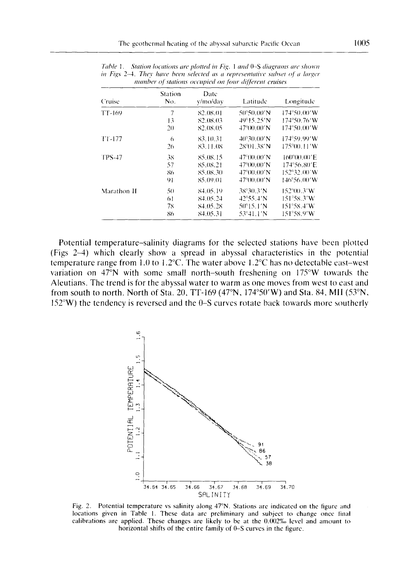| Cruise        | Station<br>No. | Date<br>y/mo/day | Latitude                    | Longitude   |
|---------------|----------------|------------------|-----------------------------|-------------|
| TT-169        | 7              | 82.08.01         | 50°50.00'N                  | 174°50.00′W |
|               | 13             | 82.08.03         | $49^{\circ}15.25'$ N        | 174°50.76′W |
|               | 20             | 82.08.05         | $47^{\circ}(0)$ , $00'$ N   | 174°50.00′W |
| TT-177        | 6              | 83.10.31         | $40^{\circ}30.00^{\prime}N$ | 174°59.99'W |
|               | 26             | 83.11.08         | 28°01.38'N                  | 175°00.11′W |
| <b>TPS-47</b> | 38             | 85.08.15         | 47°00.00'N                  | 160°00.00'E |
|               | 57             | 85.08.21         | 47°00.00'N                  | 174°56.80'E |
|               | 86             | 85.08.30         | 47°00.00′N                  | 152°32.00′W |
|               | 91             | 85.09.01         | $47^{\circ}00.00^{\prime}N$ | 146°56.00′W |
| Marathon II   | 50             | 84.05.19         | 38°30.3′N                   | 152°00.3′W  |
|               | 61             | 84.05.24         | $42^{\circ}55.4'$ N         | 151°58.3′W  |
|               | 78             | 84.05.28         | 50°15.1′N                   | 151°58.4′W  |
|               | 86             | 84.05.31         | 53°41.1′N                   | 151°58.9′W  |

*lahle 1. Station locations are plotted in Fig. 1 and* 0-S *diagrams are .s/town in Figs 2-4. They have been selected as a representative subset of a larger* mumber of stations occupied on four different cruises

**Potential temperature-salinity diagrams for the selected stations have been plotted (Figs 2-4) which clearly show a spread in abyssal characteristics in the potential temperature range from 1.0 to 1.2°C. The water above 1.2°C has no detectable east-west variation on 47°N with some small north-south freshening on 175°W towards the Aleutians. The trend is for the abyssal water to warm as one moves from west to east and from south to north. North of Sta. 20, TT-169 (47°N, 174°50'W) and Sta. 84, MII (53°N, 152°W) the tendency is reversed and the 0-S curves rotate back towards more southerly** 



**Fig. 2. Potential temperature vs salinity along 47°N. Stations are indicated on the figure and**  locations given in Table 1. These data are preliminary and subject to change once final calibrations are applied. These changes are likely to be at the 0.002% level and amount to **horizontal shifts of the entire family of 0-S curves in the figure.**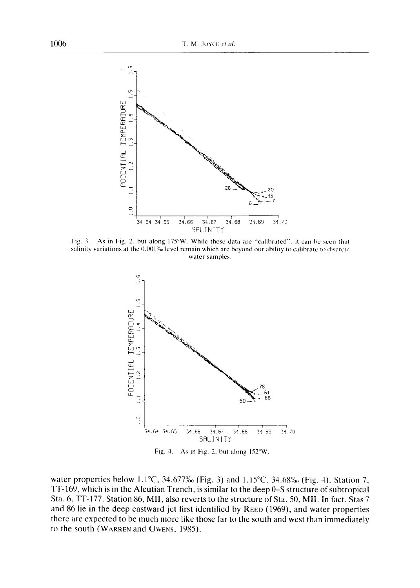

Fig. 3. As in Fig. 2, but along 175°W. While these data are "calibrated", it can be seen that salinity variations at the 0.001% level remain which are beyond our ability to calibrate to discrete **water** samples.



Fig. 4. As in Fig. 2, but along  $152^{\circ}$ W.

water properties below 1.1<sup>o</sup>C, 34.677‰ (Fig. 3) and 1.15<sup>o</sup>C, 34.68‰ (Fig. 4). Station 7, **TT-169, which is in the Aleutian Trench, is similar to the deep 0-S structure of subtropical Sta. 6, TT-177. Station 86, MII, also reverts to the structure of Sta. 50, MII. In fact, Stas 7 and 86 lie in the deep eastward jet first identified by REED (1969), and water properties there are expected to be much more like those far to the south and west than immediately to the south (WARREN and OWENS, 1985).**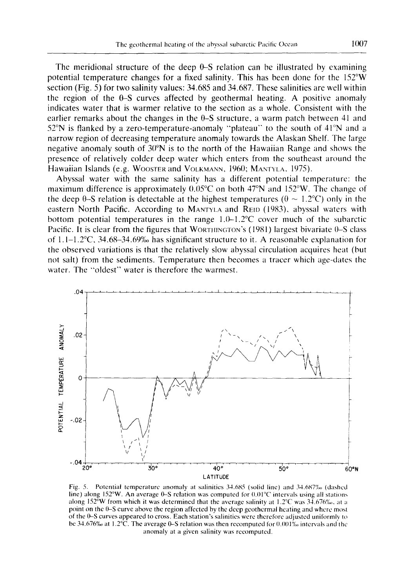The meridional structure of the deep 0-S relation can be illustrated by examining potential temperature changes for a fixed salinity. This has been done for the 152°W section (Fig. 5) for two salinity values: 34.685 and 34.687. These salinities are well within the region of the  $\theta$ -S curves affected by geothermal heating. A positive anomaly indicates water that is warmer relative to the section as a whole. Consistent with the earlier remarks about the changes in the  $\theta$ -S structure, a warm patch between 41 and 52°N is flanked by a zero-temperature-anomaly "plateau" to the south of 41°N and a narrow region of decreasing temperature anomaly towards the Alaskan Shelf. The large negative anomaly south of 30°N is to the north of the Hawaiian Range and shows the presence of relatively colder deep water which enters from the southeast around the Hawaiian Islands (e.g. WOOSTER and VOLKMANN, 1960; MANTYLA, 1975).

Abyssal water with the same salinity has a different potential temperature: the maximum difference is approximately 0.05°C on both 47°N and 152°W. The change of the deep  $\theta$ -S relation is detectable at the highest temperatures ( $\theta \sim 1.2$ °C) only in the eastern North Pacific. According to MANTYLA and REID (1983), abyssal waters with bottom potential temperatures in the range  $1.0-1.2$ °C cover much of the subarctic Pacific. It is clear from the figures that WORTHINGTON's (1981) largest bivariate 0–S class of  $1.1-1.2$ °C,  $34.68-34.69%$  has significant structure to it. A reasonable explanation for the observed variations is that the relatively slow abyssal circulation acquires heat (but not salt) from the sediments. Temperature then becomes a tracer which age-dates the water. The "oldest" water is therefore the warmest.



Fig. 5. Potential temperature anomaly at salinitics 34.685 (solid line) and *34.687%o* (dashed line) along 152°W. An average 0–S relation was computed for 0.01°C intervals using all stations along 152°W from which it was determined that the average salinity at  $1.2^{\circ}$ C was  $34.676\%$ , at a point on the 0-S curve above the region affected by the deep geothermal heating and where most of the 0-S curves appeared to cross. Each station's salinities were theretk)re adjusted uniformly to be 34.676‰ at 1.2°C. The average 0–S relation was then recomputed for 0.001‰ intervals and the anomaly at a given salinity was recomputed.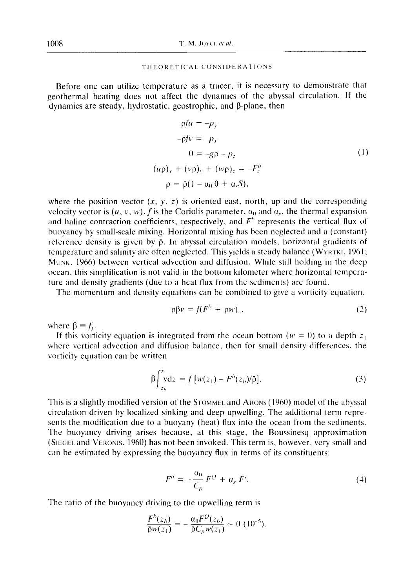#### THEORETICAL CONSIDERATIONS

Before one can utilize temperature as a tracer, it is necessary to demonstrate that geothermal heating does not affect the dynamics of the abyssal circulation. If the dynamics are steady, hydrostatic, geostrophic, and  $\beta$ -plane, then

$$
\rho f u = -p_y
$$
  
\n
$$
-\rho f v = -p_x
$$
  
\n
$$
0 = -g\rho - p_z
$$
  
\n
$$
(\mu \rho)_x + (\nu \rho)_y + (\nu \rho)_z = -F_z^b
$$
  
\n
$$
\rho = \bar{\rho}(1 - \alpha_0 \theta + \alpha_s S).
$$
  
\n(1)

where the position vector  $(x, y, z)$  is oriented east, north, up and the corresponding velocity vector is  $(u, v, w)$ , f is the Coriolis parameter,  $\alpha_0$  and  $\alpha_s$ , the thermal expansion and haline contraction coefficients, respectively, and  $F<sup>o</sup>$  represents the vertical flux of buoyancy by small-scale mixing. Horizontal mixing has been neglected and a (constant) reference density is given by  $\bar{p}$ . In abyssal circulation models, horizontal gradients of temperature and salinity are often neglected. This yields a steady balance (WYRTKI, 1961; MUNK, 1966) between vertical advection and diffusion. While still holding in the deep ocean, this simplification is not valid in the bottom kilometer where horizontal temperature and density gradients (due to a heat flux from the sediments) are found.

The momentum and density equations can be combined to give a vorticity equation.

$$
\rho \beta v = f(F^b + \rho w)_z, \tag{2}
$$

where  $\beta \equiv f_v$ .

If this vorticity equation is integrated from the ocean bottom ( $w = 0$ ) to a depth  $z_1$ where vertical advection and diffusion balance, then for small density differences, the vorticity equation can be written

$$
\beta \int_{z_b}^{z_1} v dz = f [w(z_1) - F^b(z_b) / \bar{\rho}].
$$
\n(3)

This is a slightly modified version of the STOMMEL and ARONS (1960) model of the abyssal circulation driven by localized sinking and deep upwelling. The additional term represents the modification due to a buoyany (heat) flux into the ocean from the sediments. The buoyancy driving arises because, at this stage, the Boussinesq approximation (SIEGEL and VERONIS,  $1960$ ) has not been invoked. This term is, however, very small and can be estimated by expressing the buoyancy flux in terms of its constituents:

$$
F^b = -\frac{a_0}{C_p} F^Q + a_s F^s. \tag{4}
$$

The ratio of the buoyancy driving to the upwelling term is

$$
\frac{F^{b}(z_b)}{\bar{\rho}w(z_1)} = -\frac{\alpha_0 F^{O}(z_b)}{\bar{\rho}C_{p}w(z_1)} \sim 0 \ (10^{-5}),
$$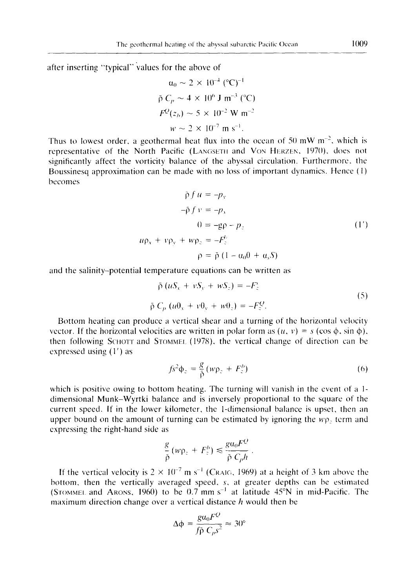after inserting "typical" values for the above of

$$
\alpha_0 \sim 2 \times 10^{-4} \, (\text{°C})^{-1}
$$
  
\n
$$
\bar{\rho} C_p \sim 4 \times 10^6 \, \text{J m}^{-3} \, (\text{°C})
$$
  
\n
$$
F^Q(z_b) \sim 5 \times 10^{-2} \, \text{W m}^{-2}
$$
  
\n
$$
w \sim 2 \times 10^{-7} \, \text{m s}^{-1}.
$$

Thus to lowest order, a geothermal heat flux into the ocean of 50 mW  $m^{-2}$ , which is representative of the North Pacific (LANGSETH and Von HERZEN, 1970), does not significantly affect the vorticity balance of the abyssal circulation. Furthermore. the Boussinesq approximation can be made with no loss of important dynamics. Hence  $(1)$ becomes

$$
\rho f u = -p_y
$$
  
\n
$$
-\bar{\rho} f v = -p_x
$$
  
\n
$$
0 = -g\rho - p_z
$$
  
\n
$$
u\rho_x + v\rho_y + w\rho_z = -F_z^b
$$
  
\n
$$
\rho = \bar{\rho} (1 - \alpha_0 \theta + \alpha_s S)
$$
\n(1')

and the salinity-potential temperature equations can be written as

$$
\tilde{\rho} (uS_x + vS_y + wS_z) = -F_z^s
$$
\n
$$
\tilde{\rho} C_p (u0_x + v0_y + w0_z) = -F_z^Q.
$$
\n(5)

Bottom heating can produce a vertical shear and a turning of the horizontal velocity vector. If the horizontal velocities are written in polar form as  $(u, v) = s$  (cos  $\phi$ , sin  $\phi$ ), then following SCHOTT and STOMMEL (1978), the vertical change of direction can be expressed using (1') as

$$
f s^2 \Phi_z = \frac{g}{\bar{\rho}} \left( w \rho_z + F_z^b \right) \tag{6}
$$

which is positive owing to bottom heating. The turning will vanish in the event of a 1dimensional Munk-Wyrtki balance and is inversely proportional to the square of the current speed. If in the lower kilometer, the 1-dimensional bahmce is upset, then an upper bound on the amount of turning can be estimated by ignoring the  $wp$  term and expressing the right-hand side as

$$
\frac{g}{\tilde{\rho}}(w\rho_z + F_z^b) \leq \frac{g a_0 F^Q}{\tilde{\rho} C_p h}
$$

If the vertical velocity is  $2 \times 10^{-7}$  m s<sup>-1</sup> (CRAIG, 1969) at a height of 3 km above the bottom, then the vertically averaged speed, *s,* at greater depths can be estimated (Srommel and Arons, 1960) to be 0.7 mm  $s^{-1}$  at latitude 45°N in mid-Pacific. The maximum direction change over a vertical distance  $h$  would then be

$$
\Delta \phi = \frac{g a_0 F^Q}{f \bar{p} C_p s^2} \approx 30^\circ
$$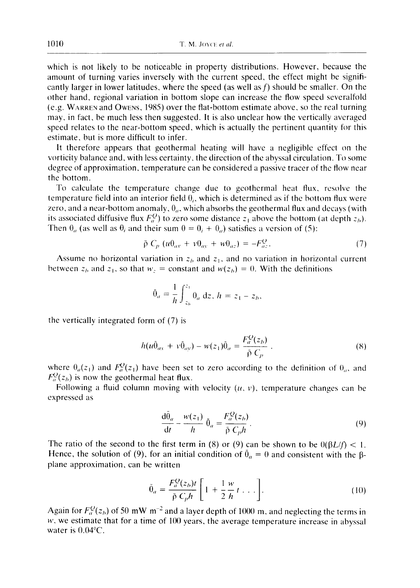which is not likely to be noticeable in property distributions. However, because the amount of turning varies inversely with the current speed, the effect might be significantly larger in lower latitudes, where the speed (as well as  $f$ ) should be smaller. On the other hand, regional variation in bottom slope can increase the flow speed severalfold (e.g. WARREN and OwENs, 1985) over the flat-bottom estimate above, so the real turning may, in fact, be much less then suggested. It is also unclear how the vertically averaged speed relates to the near-bottom speed, which is actually the pertinent quantity for this estimate, but is more difficult to infer.

It therefore appears that geothermal heating will have a negligible effect on the vorticity balance and, with less certainty, the direction of the abyssal circulation. To some degree of approximation, temperature can be considered a passive tracer of the flow near the bottom.

To calculate the temperature change due to geothermal heat flux, resolve the temperature field into an interior field  $\theta_i$ , which is determined as if the bottom flux were zero, and a near-bottom anomaly,  $\theta_a$ , which absorbs the geothermal flux and decays (with its associated diffusive flux  $F_a^Q$ ) to zero some distance  $z_1$  above the bottom (at depth  $z_b$ ). Then  $\theta_a$  (as well as  $\theta_i$  and their sum  $0 = \theta_i + \theta_a$ ) satisfies a version of (5):

$$
\bar{\rho} C_p (u\theta_{ax} + v\theta_{ax} + w\theta_{az}) = -F_{az}^Q. \tag{7}
$$

Assume no horizontal variation in  $z<sub>b</sub>$  and  $z<sub>1</sub>$ , and no variation in horizontal current between  $z<sub>b</sub>$  and  $z<sub>1</sub>$ , so that  $w<sub>z</sub> = constant$  and  $w(z<sub>b</sub>) = 0$ . With the definitions

$$
\bar{\theta}_a = \frac{1}{h} \int_{z_b}^{z_1} \theta_a \, dz, \, h = z_1 - z_b,
$$

the vertically integrated form of (7) is

$$
h(u\bar{\theta}_{ax} + v\bar{\theta}_{ay}) - w(z_1)\bar{\theta}_a = \frac{F_a^Q(z_b)}{\bar{\rho} C_p} \,. \tag{8}
$$

where  $\theta_a(z_1)$  and  $F_a^Q(z_1)$  have been set to zero according to the definition of  $\theta_a$ , and  $F_a^Q(z_b)$  is now the geothermal heat flux.

Following a fluid column moving with velocity  $(u, v)$ , temperature changes can be expressed as

$$
\frac{d\theta_a}{dt} - \frac{w(z_1)}{h} \hat{\theta}_a = \frac{F_a^Q(z_b)}{\bar{p} C_n h}.
$$
\n(9)

The ratio of the second to the first term in (8) or (9) can be shown to be  $0(\beta L/f) < 1$ . Hence, the solution of (9), for an initial condition of  $\bar{\theta}_a = 0$  and consistent with the  $\beta$ plane approximation, can be written

$$
\bar{\theta}_a = \frac{F_a^Q(z_b)t}{\bar{\rho} C_p h} \left[ 1 + \frac{1}{2} \frac{w}{h} t \dots \right].
$$
\n(10)

Again for  $F_a^Q(z_h)$  of 50 mW m<sup>-2</sup> and a layer depth of 1000 m, and neglecting the terms in  $w$ , we estimate that for a time of 100 years, the average temperature increase in abyssal water is 0.04°C.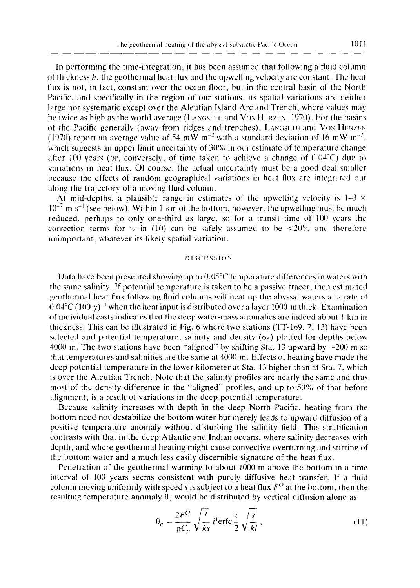In performing the time-integration, it has been assumed that following a fluid column of thickness *h,* the geothermal heat flux and the upwelling velocity are constant. The heat flux is not, in fact, constant over the ocean floor, but in the central basin of the North Pacific, and specifically in the region of our stations, its spatial variations are neither large nor systematic except over the Aleutian Island Arc and Trench, where values may be twice as high as the world average (LANGSETH and VON HERZEN, 1970). For the basins of the Pacific generally (away from ridges and trenches), LANGSETH and VON HENZEN (1970) report an average value of 54 mW m<sup>-2</sup> with a standard deviation of 16 mW m<sup>-2</sup>, which suggests an upper limit uncertainty of 30% in our estimate of temperature change after 100 years (or, conversely, of time taken to achieve a change of  $0.04^{\circ}$ C) due to variations in heat flux. Of course, the actual uncertainty must be a good deal smaller because the effects of random geographical variations in heat flux are integrated out along the trajectory of a moving fluid column.

At mid-depths, a plausible range in estimates of the upwelling velocity is  $1-3 \times$  $10^{-7}$  m s<sup>-1</sup> (see below). Within 1 km of the bottom, however, the upwelling must be much reduced, perhaps to only one-third as large, so for a transit time of  $100$  years the correction terms for w in (10) can be safely assumed to be  $\langle 20\% \rangle$  and therefore unimportant, whatever its likely spatial variation.

### I) IS('USSION

Data have been presented showing up to 0.05°C temperature differences in waters with the same salinity. If potential temperature is taken to be a passive tracer, then estimated geothermal heat flux following fluid columns will heat up the abyssal waters at a rate of  $0.04^{\circ}$ C (100 y)<sup>-1</sup> when the heat input is distributed over a layer 1000 m thick. Examination of individual casts indicates that the deep water-mass anomalies are indeed about 1 km in thickness. This can be illustrated in Fig. 6 where two stations (TT-169, 7, 13) have been selected and potential temperature, salinity and density ( $\sigma_5$ ) plotted for depths below 4000 m. The two stations have been "aligned" by shifting Sta. 13 upward by  $\sim$ 200 m so that temperatures and salinities are the same at 4000 m. Effects of heating have made the deep potential temperature in the lower kilometer at Sta. 13 higher than at Sta. 7, which is over the Aleutian Trench. Note that the salinity profiles are nearly the same and thus most of the density difference in the "'aligned" profiles, and up to 50% of that before alignment, is a result of variations in the deep potential temperature.

Because salinity increases with depth in the deep North Pacific, heating from the bottom need not destabilize the bottom water but merely leads to upward diffusion of a positive temperature anomaly without disturbing the salinity field. This stratification contrasts with that in the deep Atlantic and Indian oceans, where salinity decreases with depth, and where geothermal heating might cause convective overturning and stirring of the bottom water and a much less easily discernible signature of the heat flux.

Penetration of the geothermal warming to about 1000 m above the bottom in a time interval of 100 years seems consistent with purely diffusive heat transfer. If a fluid column moving uniformly with speed s is subject to a heat flux  $F<sup>Q</sup>$  at the bottom, then the resulting temperature anomaly  $\theta_a$  would be distributed by vertical diffusion alone as

$$
\theta_a = \frac{2F^Q}{\rho C_p} \sqrt{\frac{l}{ks}} i^1 \text{erfc} \frac{z}{2} \sqrt{\frac{s}{kl}} \,,\tag{11}
$$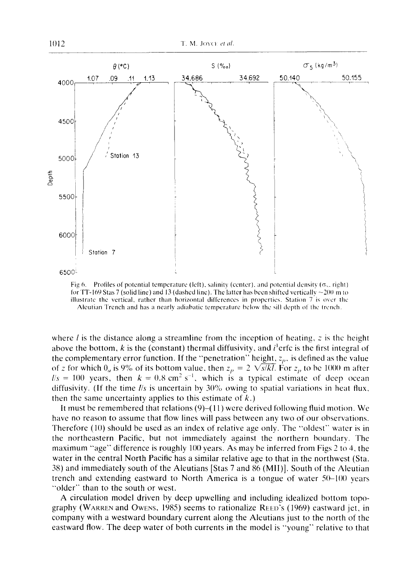

Fig 6. Profiles of potential temperature (left), salinity (center), and potential density  $(\sigma_{\gamma},$  right) for TT-169 Stas 7 (solid line) and 13 (dashed line). The latter has been shifted vertically  $\sim$ 200 m to illusiratc the vertical, rather than horizontal differences in properties. Station 7 is over lhc Aleutian Trench and has a nearly adiabatic temperature below the sill depth of the trcnch.

where *l* is the distance along a streamline from the inception of heating, z is the height above the bottom, k is the (constant) thermal diffusivity, and  $i^{\dagger}$ erfc is the first integral of the complementary error function. If the "penetration" height,  $z_p$ , is defined as the value of z for which  $\theta_a$  is 9% of its bottom value, then  $z_p = 2 \sqrt{s/kl}$ . For  $z_p$  to be 1000 m after  $l/s = 100$  years, then  $k = 0.8$  cm<sup>2</sup> s<sup>-1</sup>, which is a typical estimate of deep ocean diffusivity. (If the time *I/s* is uncertain by 30% owing to spatial variations in heat flux, then the same uncertainty applies to this estimate of  $k$ .)

It must be remembered that relations (9)-(11) were derived following fluid motion. We have no reason to assume that flow lines will pass between any two of our observations. Therefore (10) should be used as an index of relative age only. The "oldest" water is in the northeastern Pacific, but not immediately against the northern boundary. The maximum "age" difference is roughly 100 years. As may be inferred from Figs 2 to 4, the water in the central North Pacific has a similar relative age to that in the northwest (Sta. 38) and immediately south of the Aleutians [Stas 7 and 86 (MII)]. South of the Aleutian trench and extending eastward to North America is a tongue of water 50-100 years "older" than to the south or west.

A circulation model driven by deep upwelling and including idealized bottom topography (WARREN and OWENS, 1985) seems to rationalize REED'S (1969) eastward jet, in company with a westward boundary current along the Aleutians just to the north of the eastward flow. The deep water of both currents in the model is "young" relative to that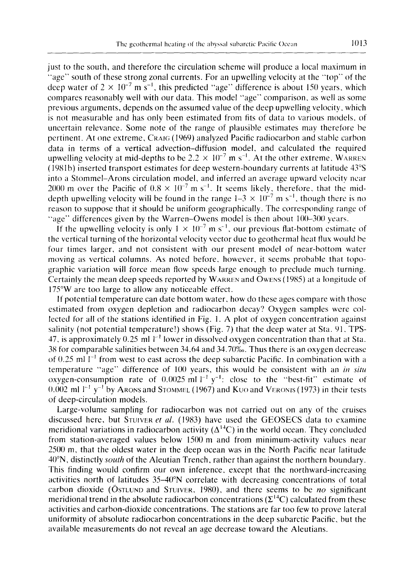just to the south, and therefore the circulation scheme will produce a local maximum in "age" south of these strong zonal currents. For an upwelling velocity at the "'top" of the deep water of  $2 \times 10^{-7}$  m s<sup>-1</sup>, this predicted "age" difference is about 150 years, which compares reasonably well with our data. This model "'age" comparison, as well as some previous arguments, depends on the assumed value of the deep upwelling velocity, which is not measurable and has only been estimated from fits of data to various models, of uncertain relevance. Some note of the range of plausible estimates may therefore be pertinent. At one extreme, CRAIG (1969) analyzed Pacific radiocarbon and stable carbon data in terms of a vertical advection-diffusion model, and calculated the required upwelling velocity at mid-depths to be  $2.2 \times 10^{-7}$  m s<sup>-1</sup>. At the other extreme, WARREN (1981b) inserted transport estimates for deep western-boundary currents at latitude 43°S into a Stommel-Arons circulation model, and inferred an average upward velocity near 2000 m over the Pacific of  $0.8 \times 10^{-7}$  m s<sup>-1</sup>. It seems likely, therefore, that the middepth upwelling velocity will be found in the range  $1-3 \times 10^{-7}$  m s<sup>-1</sup>, though there is no reason to suppose that it should be uniform geographically. The corresponding range of "age" differences given by the Warren-Owens model is then about 100-300 years.

If the upwelling velocity is only  $1 \times 10^{-7}$  m s<sup>-1</sup>, our previous flat-bottom estimate of the vertical turning of the horizontal velocity vector due to geothermal heat flux would be four times larger, and not consistent with our present model of near-bottom water moving as vertical columns. As noted before, however, it seems probable that topographic variation will force mean flow speeds large enough to preclude much turning. Certainly the mean deep speeds reported by WARREN and OWENS (1985) at a longitude of 175°W are too large to allow any noticeable effect.

If potential temperature can date bottom water, how do these ages compare with those estimated from oxygen depletion and radiocarbon decay? Oxygen samples were collected for all of the stations identified in Fig. 1. A plot of oxygen concentration against salinity (not potential temperature!) shows (Fig. 7) that the deep water at Sta. 91, TPS-47, is approximately 0.25 ml  $\mathbb{I}^{-1}$  lower in dissolved oxygen concentration than that at Sta. 38 for comparable salinities between 34.64 and 34.70‰. Thus there is an oxygen decrease of  $0.25$  ml  $l^{-1}$  from west to east across the deep subarctic Pacific. In combination with a temperature "age" difference of 100 years, this would be consistent with an *in situ*  oxygen-consumption rate of 0.0025 ml  $]^{-1}$  v<sup>-1</sup>: close to the "best-fit" estimate of  $(0.002 \text{ ml }^{-1} \text{ y}^{-1}$  by Arons and Stommel (1967) and Kuo and Veronis (1973) in their tests of deep-circulation models,

Large-volume sampling for radiocarbon was not carried out on any of the cruises discussed here, but STUIVER et al. (1983) have used the GEOSECS data to examine meridional variations in radiocarbon activity  $(\Delta^{14}C)$  in the world ocean. They concluded from station-averaged values below 1500 m and from minimum-activity values near 2500 m, that the oldest water in the deep ocean was in the North Pacific near latitude 40°N, distinctly *south* of the Aleutian Trench, rather than against the northern boundary. This finding would confirm our own inference, except that the northward-increasing activities north of latitudes 35-40°N correlate with decreasing concentrations of total carbon dioxide (ÖSTLUND and STUIVER, 1980), and there seems to be no significant meridional trend in the absolute radiocarbon concentrations  $(\Sigma^{14}C)$  calculated from these activities and carbon-dioxide concentrations. The stations are far too few to prove lateral uniformity of absolute radiocarbon concentrations in the deep subarctic Pacific, but the available measurements do not reveal an age decrease toward the Aleutians.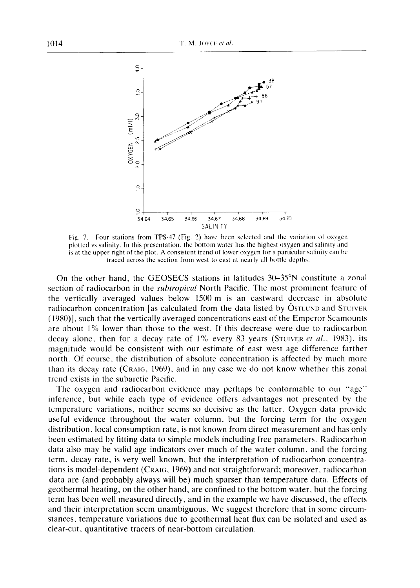

Fig. 7. Four stations from TPS-47 (Fig. 2) have been selected and the variation of oxygen plotted vs salinity. In this presentation, the bottom water has the highest oxygen and salinity and is at the upper right of the plot. A consistent trend of lower oxygen for a particular salinity can be traced across the section from west to east at nearly all bottle depths.

On the other hand, the GEOSECS stations in latitudes  $30-35^\circ N$  constitute a zonal section of radiocarbon in the *subtropical* North Pacific. The most prominent feature of the vertically averaged values below 1500 m is an eastward decrease in absolute radiocarbon concentration [as calculated from the data listed by OSTLUND and STUIVER (1980)], such that the vertically averaged concentrations east of the Emperor Seamounts are about 1% lower than those to the west. If this decrease were due to radiocarbon decay alone, then for a decay rate of 1% every 83 years (STuIVER *et al.,* 1983), its magnitude would be consistent with our estimate of east-west age difference farther north. Of course, the distribution of absolute concentration is affected by much more than its decay rate (CRAIG, 1969), and in any case we do not know whether this zonal trend exists in the subarctic Pacific.

The oxygen and radiocarbon evidence may perhaps be conformable to our "age" inference, but while each type of evidence offers advantages not presented by the temperature variations, neither seems so decisive as the latter. Oxygen data provide useful evidence throughout the water column, but the forcing term for the oxygen distribution, local consumption rate, is not known from direct measurement and has only been estimated by fitting data to simple models including free parameters. Radiocarbon data also may be valid age indicators over much of the water column, and the forcing term, decay rate, is very well known, but the interpretation of radiocarbon concentrations is model-dependent (CRAIG, 1969) and not straightforward; moreover, radiocarbon data are (and probably always will be) much sparser than temperature data. Effects of geothermal heating, on the other hand, are confined to the bottom water, but the forcing term has been well measured directly, and in the example we have discussed, the effects and their interpretation seem unambiguous. We suggest therefore that in some circumstances, temperature variations due to geothermal heat flux can be isolated and used as clear-cut, quantitative tracers of near-bottom circulation.